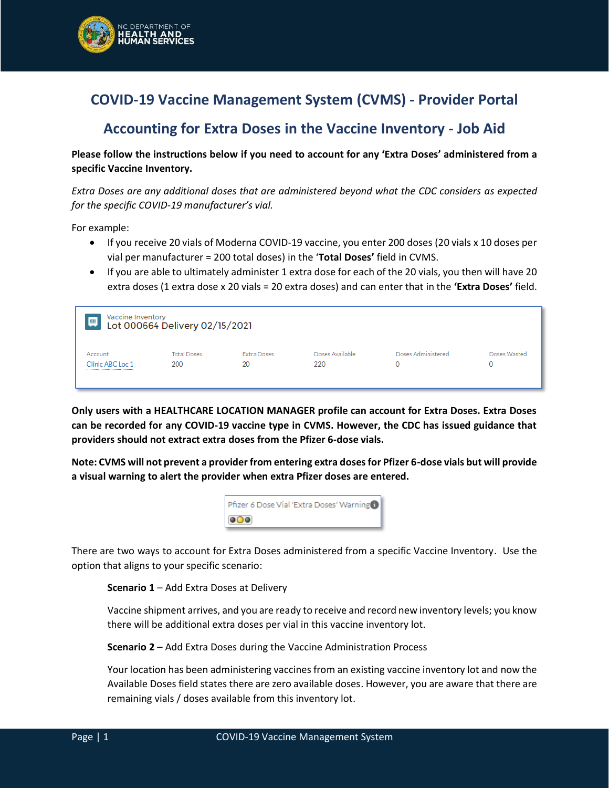

# **COVID-19 Vaccine Management System (CVMS) - Provider Portal**

## **Accounting for Extra Doses in the Vaccine Inventory - Job Aid**

**Please follow the instructions below if you need to account for any 'Extra Doses' administered from a specific Vaccine Inventory.**

*Extra Doses are any additional doses that are administered beyond what the CDC considers as expected for the specific COVID-19 manufacturer's vial.*

For example:

- If you receive 20 vials of Moderna COVID-19 vaccine, you enter 200 doses (20 vials x 10 doses per vial per manufacturer = 200 total doses) in the '**Total Doses'** field in CVMS.
- If you are able to ultimately administer 1 extra dose for each of the 20 vials, you then will have 20 extra doses (1 extra dose x 20 vials = 20 extra doses) and can enter that in the **'Extra Doses'** field.

| Vaccine Inventory<br>靊 | Lot 000664 Delivery 02/15/2021 |             |                 |                    |              |
|------------------------|--------------------------------|-------------|-----------------|--------------------|--------------|
| Account                | <b>Total Doses</b>             | Extra Doses | Doses Available | Doses Administered | Doses Wasted |
| Clinic ABC Loc 1       | 200                            | 20          | 220             | 0                  | 0            |

**Only users with a HEALTHCARE LOCATION MANAGER profile can account for Extra Doses. Extra Doses can be recorded for any COVID-19 vaccine type in CVMS. However, the CDC has issued guidance that providers should not extract extra doses from the Pfizer 6-dose vials.** 

**Note: CVMS will not prevent a provider from entering extra doses for Pfizer 6-dose vials but will provide a visual warning to alert the provider when extra Pfizer doses are entered.** 



There are two ways to account for Extra Doses administered from a specific Vaccine Inventory. Use the option that aligns to your specific scenario:

**Scenario 1** – Add Extra Doses at Delivery

Vaccine shipment arrives, and you are ready to receive and record new inventory levels; you know there will be additional extra doses per vial in this vaccine inventory lot.

**Scenario 2** – Add Extra Doses during the Vaccine Administration Process

Your location has been administering vaccines from an existing vaccine inventory lot and now the Available Doses field states there are zero available doses. However, you are aware that there are remaining vials / doses available from this inventory lot.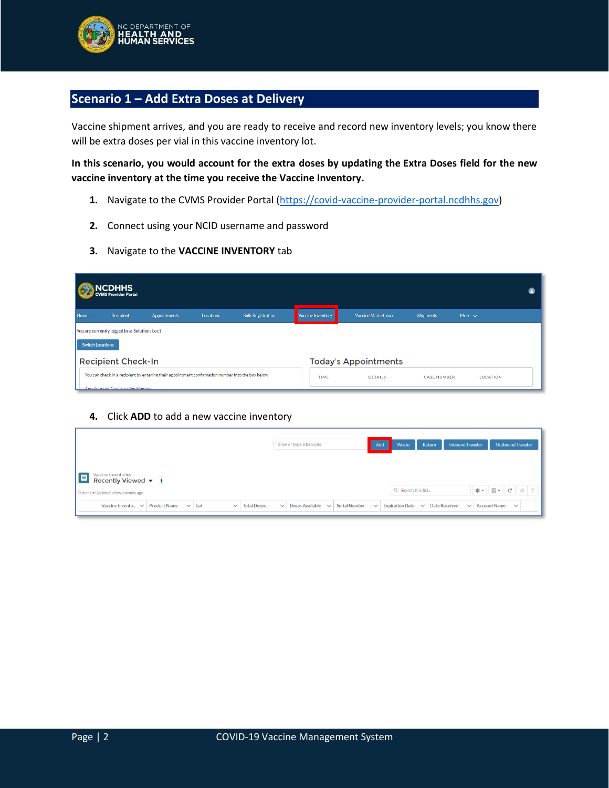

### **Scenario 1 – Add Extra Doses at Delivery**

Vaccine shipment arrives, and you are ready to receive and record new inventory levels; you know there will be extra doses per vial in this vaccine inventory lot.

**In this scenario, you would account for the extra doses by updating the Extra Doses field for the new vaccine inventory at the time you receive the Vaccine Inventory.**

- 1. Navigate to the CVMS Provider Portal [\(https://covid-vaccine-provider-portal.ncdhhs.gov\)](https://covid-vaccine-provider-portal.ncdhhs.gov/)
- **2.** Connect using your NCID username and password
- **3.** Navigate to the **VACCINE INVENTORY** tab

|                         | NCDHHS<br>EVMS Provider Portal                |                                                                                                   |                  |                          |                   |                             |                    |                 |  |
|-------------------------|-----------------------------------------------|---------------------------------------------------------------------------------------------------|------------------|--------------------------|-------------------|-----------------------------|--------------------|-----------------|--|
| Home                    | Recipient                                     | <b>Appointments</b>                                                                               | <b>Locations</b> | <b>Bulk Registration</b> | Vaccine Inventory | Vaccine Marketplace         | <b>Shipments</b>   | More $\sim$     |  |
|                         | You are currently logged in as Solutions Loc1 |                                                                                                   |                  |                          |                   |                             |                    |                 |  |
| <b>Switch Locations</b> |                                               |                                                                                                   |                  |                          |                   |                             |                    |                 |  |
|                         | <b>Recipient Check-In</b>                     |                                                                                                   |                  |                          |                   | <b>Today's Appointments</b> |                    |                 |  |
|                         |                                               | You can check in a recipient by entering their appointment confirmation number into the box below |                  |                          | <b>TIME</b>       | <b>DETAILS</b>              | <b>CASE NUMBER</b> | <b>LOCATION</b> |  |
|                         | Appointment Confirmation Number               |                                                                                                   |                  |                          |                   |                             |                    |                 |  |

#### **4.** Click **ADD** to add a new vaccine inventory

|                                                                                                | Scan or type a barcode                 |                      | Add          | Waste<br><b>Return</b> | <b>Inbound Transfer</b>              | <b>Outbound Transfer</b>                                                                                                   |
|------------------------------------------------------------------------------------------------|----------------------------------------|----------------------|--------------|------------------------|--------------------------------------|----------------------------------------------------------------------------------------------------------------------------|
| Vaccine Inventories<br><b>ED</b><br>Recently Viewed ▼ 1<br>O items . Updated a few seconds ago |                                        |                      |              | Q Search this list     |                                      | $\mathfrak{B} \bullet \parallel \mathfrak{m} \bullet \parallel \mathfrak{C} \parallel \mathfrak{G} \parallel \mathfrak{Y}$ |
| Vaccine Invento $\vee$ Product Name<br><b>Total Doses</b><br>$\vee$ Lot<br>$\checkmark$        | Doses Available $\vee$<br>$\checkmark$ | <b>Serial Number</b> | $\checkmark$ | <b>Expiration Date</b> | $\vee$ Date Received<br>$\checkmark$ | Account Name $\vee$                                                                                                        |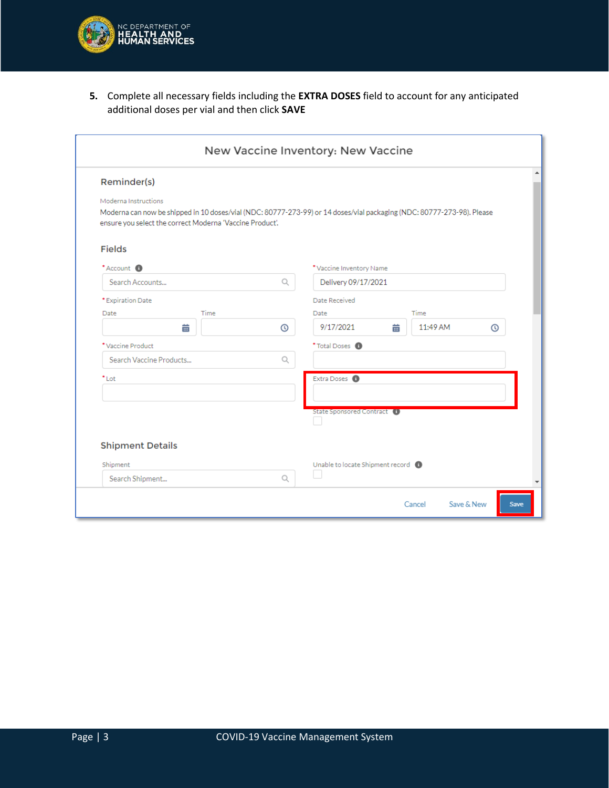

**5.** Complete all necessary fields including the **EXTRA DOSES** field to account for any anticipated additional doses per vial and then click **SAVE**

| Reminder(s)                                                                                                                                                                                                |         |                                       |               |   |
|------------------------------------------------------------------------------------------------------------------------------------------------------------------------------------------------------------|---------|---------------------------------------|---------------|---|
| Moderna Instructions<br>Moderna can now be shipped in 10 doses/vial (NDC: 80777-273-99) or 14 doses/vial packaging (NDC: 80777-273-98). Please<br>ensure you select the correct Moderna 'Vaccine Product'. |         |                                       |               |   |
| <b>Fields</b>                                                                                                                                                                                              |         |                                       |               |   |
| *Account <sup>6</sup>                                                                                                                                                                                      |         | *Vaccine Inventory Name               |               |   |
| Search Accounts                                                                                                                                                                                            | Q       | Delivery 09/17/2021                   |               |   |
| * Expiration Date                                                                                                                                                                                          |         | Date Received                         |               |   |
| Date                                                                                                                                                                                                       | Time    | Date                                  | Time          |   |
| 筁                                                                                                                                                                                                          | $\odot$ | 9/17/2021                             | 11:49 AM<br>蘦 | ര |
| *Vaccine Product                                                                                                                                                                                           |         | *Total Doses <sup>6</sup>             |               |   |
| Search Vaccine Products                                                                                                                                                                                    | Q       |                                       |               |   |
| $^*$ Lot                                                                                                                                                                                                   |         | Extra Doses <sup>6</sup>              |               |   |
|                                                                                                                                                                                                            |         | State Sponsored Contract <sup>6</sup> |               |   |
| <b>Shipment Details</b>                                                                                                                                                                                    |         |                                       |               |   |
| Shipment                                                                                                                                                                                                   |         | Unable to locate Shipment record      |               |   |
| Search Shipment                                                                                                                                                                                            | Q       |                                       |               |   |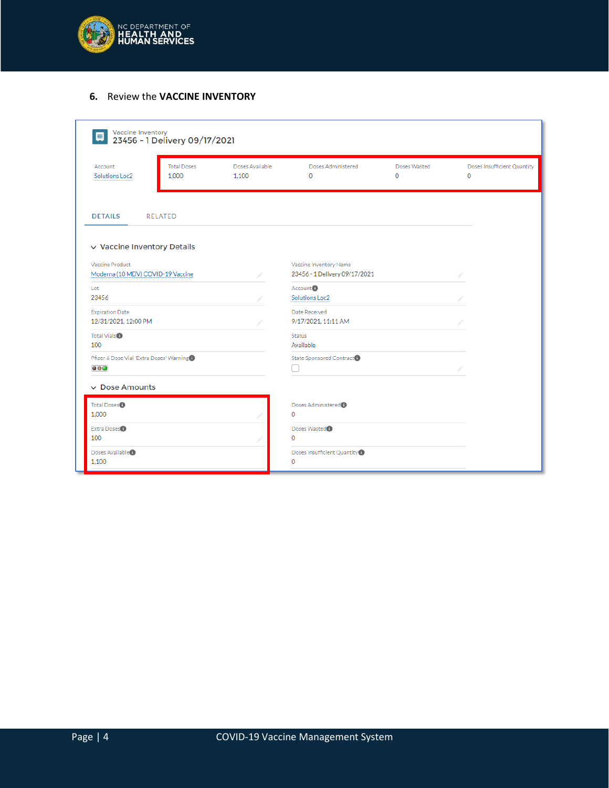

### **6.** Review the **VACCINE INVENTORY**

| 画                                        | Vaccine Inventory<br>23456 - 1 Delivery 09/17/2021 |                          |                                       |                             |                                  |
|------------------------------------------|----------------------------------------------------|--------------------------|---------------------------------------|-----------------------------|----------------------------------|
| Account<br>Solutions Loc2                | <b>Total Doses</b><br>1.000                        | Doses Available<br>1.100 | Doses Administered<br>0               | Doses Wasted<br>$\mathbf 0$ | Doses Insufficient Quantity<br>0 |
| <b>DETAILS</b>                           | <b>RELATED</b>                                     |                          |                                       |                             |                                  |
| $\vee$ Vaccine Inventory Details         |                                                    |                          |                                       |                             |                                  |
| Vaccine Product                          |                                                    |                          | Vaccine Inventory Name                |                             |                                  |
| Moderna (10 MDV) COVID-19 Vaccine        |                                                    |                          | 23456 - 1 Delivery 09/17/2021         |                             |                                  |
| Lot                                      |                                                    |                          | Account <sup>6</sup>                  |                             |                                  |
| 23456                                    |                                                    |                          | Solutions Loc2                        |                             |                                  |
| <b>Expiration Date</b>                   |                                                    |                          | Date Received                         |                             |                                  |
| 12/31/2021, 12:00 PM                     |                                                    |                          | 9/17/2021.11:11 AM                    |                             |                                  |
| Total Vials <sup>®</sup>                 |                                                    |                          | <b>Status</b>                         |                             |                                  |
| 100                                      |                                                    |                          | Available                             |                             |                                  |
| Pfizer 6 Dose Vial 'Extra Doses' Warning |                                                    |                          | State Sponsored Contract <sup>1</sup> |                             |                                  |
| $\circ$ 00                               |                                                    |                          |                                       |                             |                                  |
| $\vee$ Dose Amounts                      |                                                    |                          |                                       |                             |                                  |
| Total Doses <sup>®</sup>                 |                                                    |                          | Doses Administered <sup>®</sup>       |                             |                                  |
| 1.000                                    |                                                    |                          | $\mathbf{0}$                          |                             |                                  |
| Extra Doses <sup>®</sup>                 |                                                    |                          | Doses Wasted <sup>1</sup>             |                             |                                  |
| 100                                      |                                                    |                          | $\circ$                               |                             |                                  |
| Doses Available <sup>1</sup>             |                                                    |                          | Doses Insufficient Quantity           |                             |                                  |
| 1.100                                    |                                                    |                          | $\mathbf{0}$                          |                             |                                  |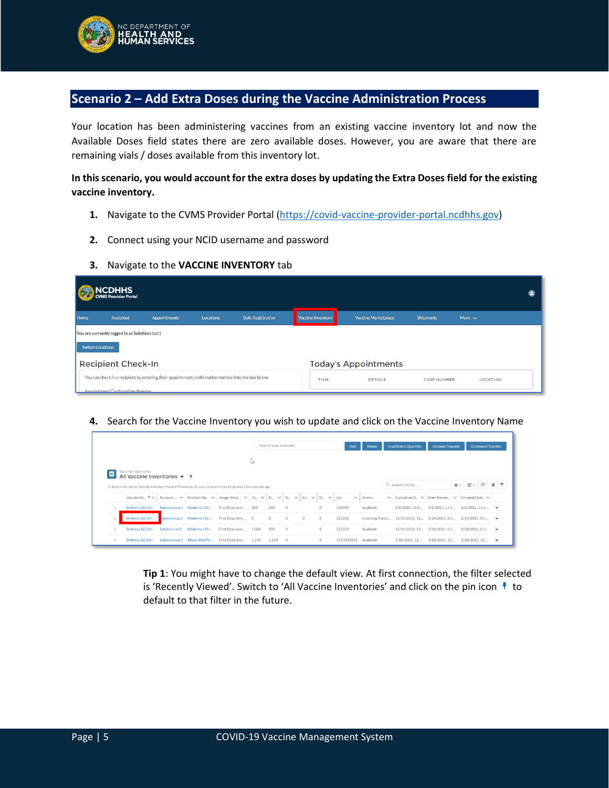

## **Scenario 2 – Add Extra Doses during the Vaccine Administration Process**

Your location has been administering vaccines from an existing vaccine inventory lot and now the Available Doses field states there are zero available doses. However, you are aware that there are remaining vials / doses available from this inventory lot.

### **In this scenario, you would account for the extra doses by updating the Extra Doses field for the existing vaccine inventory.**

- **1.** Navigate to the CVMS Provider Portal [\(https://covid-vaccine-provider-portal.ncdhhs.gov\)](https://covid-vaccine-provider-portal.ncdhhs.gov/)
- **2.** Connect using your NCID username and password
- **3.** Navigate to the **VACCINE INVENTORY** tab

|                         | <b>NCDHHS</b><br>WS Provider Portal           |                                                                                                   |                  |                          |                   |                             |                    |                 |  |
|-------------------------|-----------------------------------------------|---------------------------------------------------------------------------------------------------|------------------|--------------------------|-------------------|-----------------------------|--------------------|-----------------|--|
| Home                    | Recipient                                     | <b>Appointments</b>                                                                               | <b>Locations</b> | <b>Bulk Registration</b> | Vaccine Inventory | Vaccine Marketplace         | <b>Shipments</b>   | More $\sim$     |  |
|                         | You are currently logged in as Solutions Loc1 |                                                                                                   |                  |                          |                   |                             |                    |                 |  |
| <b>Switch Locations</b> |                                               |                                                                                                   |                  |                          |                   |                             |                    |                 |  |
|                         | <b>Recipient Check-In</b>                     |                                                                                                   |                  |                          |                   | <b>Today's Appointments</b> |                    |                 |  |
|                         |                                               | You can check in a recipient by entering their appointment confirmation number into the box below |                  |                          | <b>TIME</b>       | <b>DETAILS</b>              | <b>CASE NUMBER</b> | <b>LOCATION</b> |  |
|                         | Appointment Confirmation Number               |                                                                                                   |                  |                          |                   |                             |                    |                 |  |

**4.** Search for the Vaccine Inventory you wish to update and click on the Vaccine Inventory Name

|                                                                                                               |               |             |                                                                                                                                     |       | Scan or type a barcode |         |         |         | Add          |               | Waste           | <b>Insufficient Quantity</b>                 | <b>Inbound Transfer</b>                |                | <b>Outbound Transfer</b> |                          |  |
|---------------------------------------------------------------------------------------------------------------|---------------|-------------|-------------------------------------------------------------------------------------------------------------------------------------|-------|------------------------|---------|---------|---------|--------------|---------------|-----------------|----------------------------------------------|----------------------------------------|----------------|--------------------------|--------------------------|--|
|                                                                                                               |               |             |                                                                                                                                     | L)    |                        |         |         |         |              |               |                 |                                              |                                        |                |                          |                          |  |
| Vaccine Inventories                                                                                           |               |             |                                                                                                                                     |       |                        |         |         |         |              |               |                 |                                              |                                        |                |                          |                          |  |
| 11 Items . Sorted by Vaccine Inventory Name . Filtered by All vaccine Inventories . Updated a few seconds ago |               |             |                                                                                                                                     |       |                        |         |         |         |              |               |                 | Q Search this list                           |                                        | <b>※ ▼ Ⅲ ▼</b> | G                        | G                        |  |
|                                                                                                               |               |             | Vaccine In $\uparrow \vee$ Account $\vee$ Product Na $\vee$ Usage (First $\vee$ To $\vee$ D $\vee$ D $\vee$ Ex $\vee$ D $\vee$ LEV. |       |                        |         |         |         | $\checkmark$ | <b>Status</b> | $\checkmark$    | Expiration D V                               | Date Receiv $\vee$ Created Date $\vee$ |                |                          |                          |  |
| Delivery 02/16/ Solutions Loc1 Moderna (10                                                                    |               |             | First Dose only  200                                                                                                                |       | 200                    | $\circ$ |         | $\circ$ | 138495       | Available     |                 | 3/2/2026, 12:0                               | 3/2/2021.11:3                          | 3/2/2021, 11:4 |                          | $\overline{\phantom{a}}$ |  |
| Delivery 02/24/                                                                                               | olutions Loc1 | Moderna (10 | First Dose only  0                                                                                                                  |       | $\circ$                | $\circ$ | $\circ$ | $\circ$ | 222222       |               | Incoming Transf | 12/31/2021, 12 2/24/2021, 5:3 2/24/2021, 5:4 |                                        |                |                          | $\overline{\phantom{a}}$ |  |
| Delivery 02/24/ Solution Loc2                                                                                 |               | Moderna (10 | First Dose only                                                                                                                     | 1.000 | 900                    | $\circ$ |         | $\circ$ | 222222       | Available     |                 | 12/31/2021.12 2/24/2021.5:3                  |                                        | 2/24/2021.5:3  |                          | $\overline{\phantom{a}}$ |  |
|                                                                                                               |               |             |                                                                                                                                     |       |                        |         |         | $\circ$ | 3333333333   | Available     |                 | 2/26/2021.12:                                | 2/26/2021.10:                          | 2/26/2021, 10: |                          | $\blacktriangledown$     |  |

**Tip 1**: You might have to change the default view. At first connection, the filter selected is 'Recently Viewed'. Switch to 'All Vaccine Inventories' and click on the pin icon  $\frac{1}{\tau}$  to default to that filter in the future.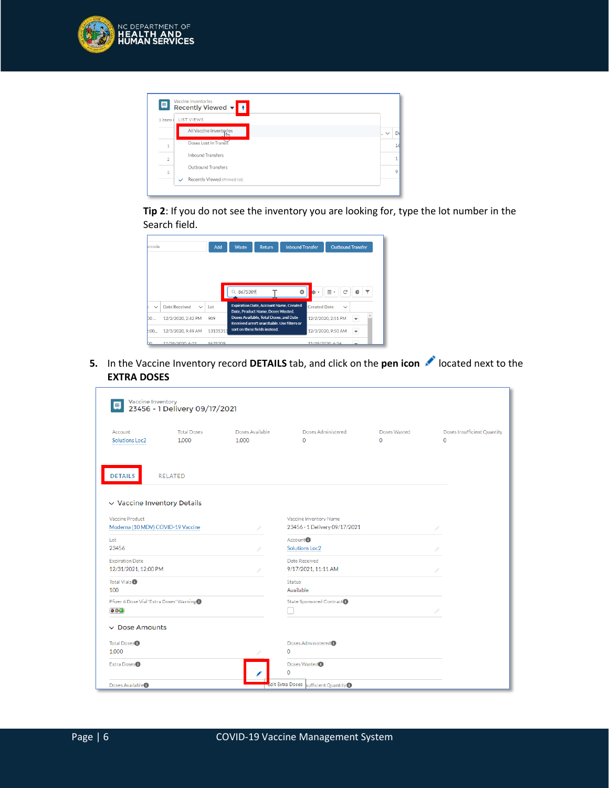

| 靊                        | Vaccine Inventories<br>Recently Viewed $\mathbf{v}$ + |                           |
|--------------------------|-------------------------------------------------------|---------------------------|
| 3 items                  | LIST VIEWS                                            |                           |
|                          | All Vaccine Inventories                               | D.<br>$\mathbb{L}$ $\vee$ |
|                          | Doses Lost In Transit                                 |                           |
| $\overline{\phantom{a}}$ | <b>Inhound Transfers</b>                              |                           |
| 3                        | Outbound Transfers                                    | 9                         |
|                          | Recently Viewed (Pinned list)<br>$\checkmark$         |                           |

**Tip 2**: If you do not see the inventory you are looking for, type the lot number in the Search field.

| arcode       |                               | Add      | Waste     | <b>Return</b>                                                                                                             | <b>Inbound Transfer</b> |                     | <b>Outbound Transfer</b> |                          |
|--------------|-------------------------------|----------|-----------|---------------------------------------------------------------------------------------------------------------------------|-------------------------|---------------------|--------------------------|--------------------------|
|              |                               |          | Q 8675309 |                                                                                                                           | Ø                       | ¢                   | <br>G                    | G                        |
| $\checkmark$ | Date Received<br>$\checkmark$ | 1 ot     |           | <b>Expiration Date, Account Name, Created</b>                                                                             |                         | <b>Created Date</b> | $\checkmark$             |                          |
| bo           | 12/2/2020, 2:42 PM            | 909      |           | Date, Product Name, Doses Wasted,<br>Doses Available, Total Doses, and Date<br>Received aren't searchable. Use filters or |                         |                     | 12/2/2020, 2:51 PM       | $\overline{\mathbf{v}}$  |
| <b>COO</b>   | 12/3/2020, 9:49 AM            | 13131313 |           | sort on these fields instead.                                                                                             |                         |                     | 12/3/2020, 9:50 AM       | $\overline{\phantom{a}}$ |
|              | 11/28/2020 6:31               | 8475300  |           |                                                                                                                           |                         | 11/28/2020 6:34     |                          |                          |

**5.** In the Vaccine Inventory record **DETAILS** tab, and click on the **pen icon** and located next to the **EXTRA DOSES**

| <b>Vaccine Inventory</b><br>靊                         | 23456 - 1 Delivery 09/17/2021 |                          |                                                         |                          |                                        |
|-------------------------------------------------------|-------------------------------|--------------------------|---------------------------------------------------------|--------------------------|----------------------------------------|
| Account<br><b>Solutions Loc2</b>                      | <b>Total Doses</b><br>1.000   | Doses Available<br>1.000 | Doses Administered<br>$\Omega$                          | Doses Wasted<br>$\Omega$ | Doses Insufficient Quantity<br>$\circ$ |
| <b>DETAILS</b>                                        | <b>RELATED</b>                |                          |                                                         |                          |                                        |
| $\vee$ Vaccine Inventory Details                      |                               |                          |                                                         |                          |                                        |
| Vaccine Product<br>Moderna (10 MDV) COVID-19 Vaccine  |                               |                          | Vaccine Inventory Name<br>23456 - 1 Delivery 09/17/2021 |                          |                                        |
| Lot<br>23456                                          |                               |                          | Account <sup>1</sup><br>Solutions Loc2                  |                          |                                        |
| <b>Expiration Date</b><br>12/31/2021, 12:00 PM        |                               |                          | Date Received<br>9/17/2021, 11:11 AM                    |                          |                                        |
| Total Vials <sup>®</sup><br>100                       |                               |                          | <b>Status</b><br>Available                              |                          |                                        |
| Pfizer 6 Dose Vial 'Extra Doses' Warning<br>$\bullet$ |                               |                          | State Sponsored Contract                                |                          |                                        |
| $\vee$ Dose Amounts                                   |                               |                          |                                                         |                          |                                        |
| Total Doses <sup>®</sup><br>1,000                     |                               |                          | Doses Administered <sup>®</sup><br>$\Omega$             |                          |                                        |
| Extra Doses <sup>1</sup>                              |                               |                          | Doses Wasted <sup>®</sup><br>$\mathbf 0$                |                          |                                        |
| Doses Available <sup>1</sup>                          |                               |                          | tdit Extra Doses sufficient Quantity O                  |                          |                                        |